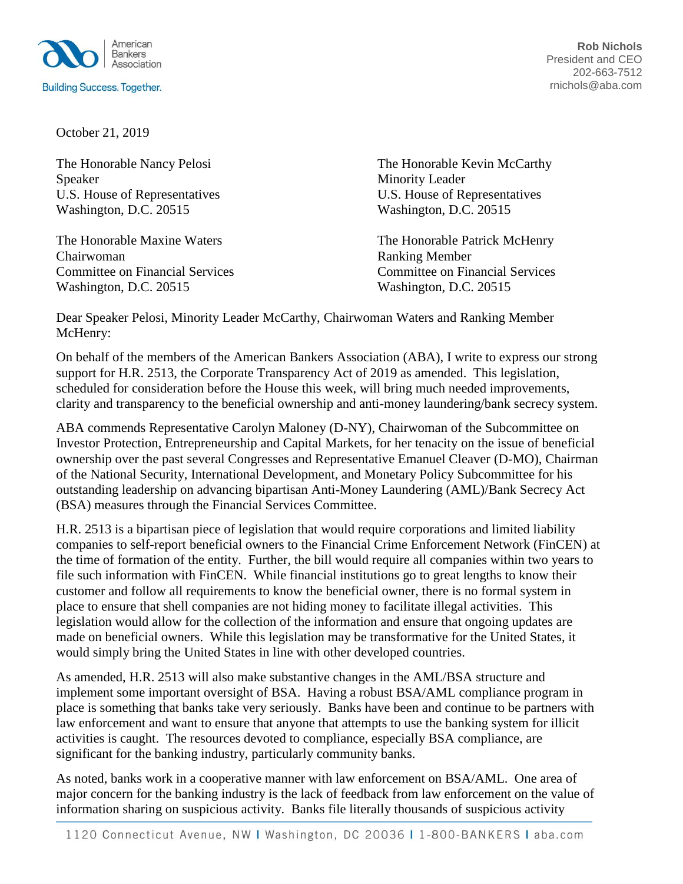

**Rob Nichols** President and CEO 202-663-7512 rnichols@aba.com

October 21, 2019

Speaker Minority Leader Washington, D.C. 20515 Washington, D.C. 20515

Chairwoman Ranking Member Washington, D.C. 20515 Washington, D.C. 20515

The Honorable Nancy Pelosi **The Honorable Kevin McCarthy** U.S. House of Representatives U.S. House of Representatives

The Honorable Maxine Waters The Honorable Patrick McHenry Committee on Financial Services Committee on Financial Services

Dear Speaker Pelosi, Minority Leader McCarthy, Chairwoman Waters and Ranking Member McHenry:

On behalf of the members of the American Bankers Association (ABA), I write to express our strong support for H.R. 2513, the Corporate Transparency Act of 2019 as amended. This legislation, scheduled for consideration before the House this week, will bring much needed improvements, clarity and transparency to the beneficial ownership and anti-money laundering/bank secrecy system.

ABA commends Representative Carolyn Maloney (D-NY), Chairwoman of the Subcommittee on Investor Protection, Entrepreneurship and Capital Markets, for her tenacity on the issue of beneficial ownership over the past several Congresses and Representative Emanuel Cleaver (D-MO), Chairman of the National Security, International Development, and Monetary Policy Subcommittee for his outstanding leadership on advancing bipartisan Anti-Money Laundering (AML)/Bank Secrecy Act (BSA) measures through the Financial Services Committee.

H.R. 2513 is a bipartisan piece of legislation that would require corporations and limited liability companies to self-report beneficial owners to the Financial Crime Enforcement Network (FinCEN) at the time of formation of the entity. Further, the bill would require all companies within two years to file such information with FinCEN. While financial institutions go to great lengths to know their customer and follow all requirements to know the beneficial owner, there is no formal system in place to ensure that shell companies are not hiding money to facilitate illegal activities. This legislation would allow for the collection of the information and ensure that ongoing updates are made on beneficial owners. While this legislation may be transformative for the United States, it would simply bring the United States in line with other developed countries.

As amended, H.R. 2513 will also make substantive changes in the AML/BSA structure and implement some important oversight of BSA. Having a robust BSA/AML compliance program in place is something that banks take very seriously. Banks have been and continue to be partners with law enforcement and want to ensure that anyone that attempts to use the banking system for illicit activities is caught. The resources devoted to compliance, especially BSA compliance, are significant for the banking industry, particularly community banks.

As noted, banks work in a cooperative manner with law enforcement on BSA/AML. One area of major concern for the banking industry is the lack of feedback from law enforcement on the value of information sharing on suspicious activity. Banks file literally thousands of suspicious activity